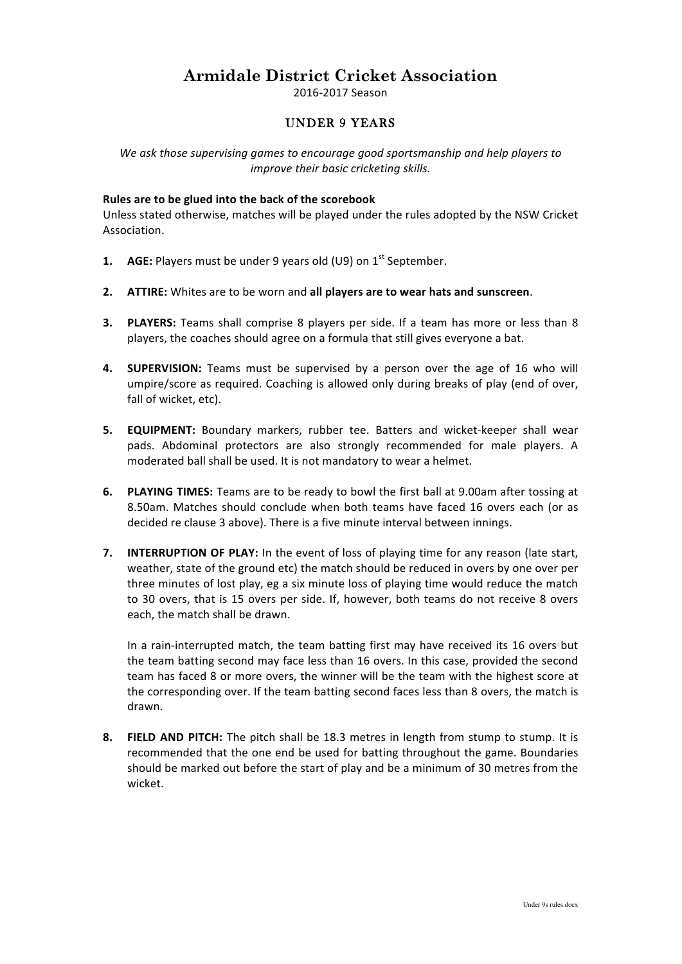# **Armidale District Cricket Association**

2016-2017 Season

# UNDER 9 YEARS

We ask those supervising games to encourage good sportsmanship and help players to *improve their basic cricketing skills.* 

### Rules are to be glued into the back of the scorebook

Unless stated otherwise, matches will be played under the rules adopted by the NSW Cricket Association.

- **1. AGE:** Players must be under 9 years old (U9) on 1<sup>st</sup> September.
- **2. ATTIRE:** Whites are to be worn and all players are to wear hats and sunscreen.
- **3. PLAYERS:** Teams shall comprise 8 players per side. If a team has more or less than 8 players, the coaches should agree on a formula that still gives everyone a bat.
- 4. **SUPERVISION:** Teams must be supervised by a person over the age of 16 who will umpire/score as required. Coaching is allowed only during breaks of play (end of over, fall of wicket, etc).
- **5. EQUIPMENT:** Boundary markers, rubber tee. Batters and wicket-keeper shall wear pads. Abdominal protectors are also strongly recommended for male players. A moderated ball shall be used. It is not mandatory to wear a helmet.
- **6. PLAYING TIMES:** Teams are to be ready to bowl the first ball at 9.00am after tossing at 8.50am. Matches should conclude when both teams have faced 16 overs each (or as decided re clause 3 above). There is a five minute interval between innings.
- **7. INTERRUPTION OF PLAY:** In the event of loss of playing time for any reason (late start, weather, state of the ground etc) the match should be reduced in overs by one over per three minutes of lost play, eg a six minute loss of playing time would reduce the match to 30 overs, that is 15 overs per side. If, however, both teams do not receive 8 overs each, the match shall be drawn.

In a rain-interrupted match, the team batting first may have received its 16 overs but the team batting second may face less than 16 overs. In this case, provided the second team has faced 8 or more overs, the winner will be the team with the highest score at the corresponding over. If the team batting second faces less than 8 overs, the match is drawn.

**8.** FIELD AND PITCH: The pitch shall be 18.3 metres in length from stump to stump. It is recommended that the one end be used for batting throughout the game. Boundaries should be marked out before the start of play and be a minimum of 30 metres from the wicket.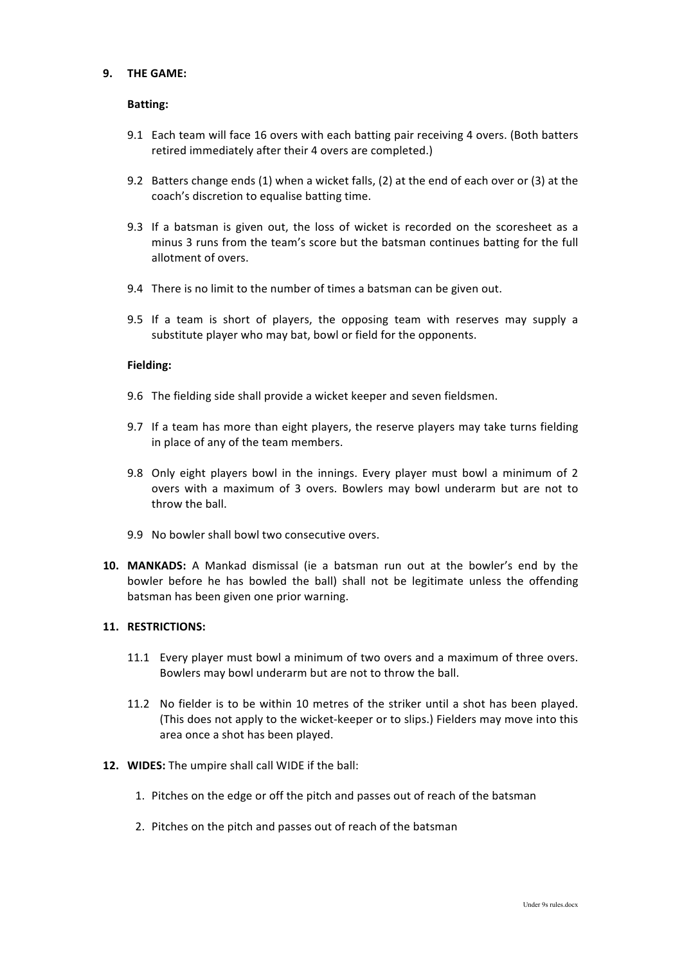## **9. THE GAME:**

#### **Batting:**

- 9.1 Each team will face 16 overs with each batting pair receiving 4 overs. (Both batters retired immediately after their 4 overs are completed.)
- 9.2 Batters change ends (1) when a wicket falls, (2) at the end of each over or (3) at the coach's discretion to equalise batting time.
- 9.3 If a batsman is given out, the loss of wicket is recorded on the scoresheet as a minus 3 runs from the team's score but the batsman continues batting for the full allotment of overs.
- 9.4 There is no limit to the number of times a batsman can be given out.
- 9.5 If a team is short of players, the opposing team with reserves may supply a substitute player who may bat, bowl or field for the opponents.

### **Fielding:**

- 9.6 The fielding side shall provide a wicket keeper and seven fieldsmen.
- 9.7 If a team has more than eight players, the reserve players may take turns fielding in place of any of the team members.
- 9.8 Only eight players bowl in the innings. Every player must bowl a minimum of 2 overs with a maximum of 3 overs. Bowlers may bowl underarm but are not to throw the ball.
- 9.9 No bowler shall bowl two consecutive overs.
- **10. MANKADS:** A Mankad dismissal (ie a batsman run out at the bowler's end by the bowler before he has bowled the ball) shall not be legitimate unless the offending batsman has been given one prior warning.

#### **11. RESTRICTIONS:**

- 11.1 Every player must bowl a minimum of two overs and a maximum of three overs. Bowlers may bowl underarm but are not to throw the ball.
- 11.2 No fielder is to be within 10 metres of the striker until a shot has been played. (This does not apply to the wicket-keeper or to slips.) Fielders may move into this area once a shot has been played.
- **12. WIDES:** The umpire shall call WIDE if the ball:
	- 1. Pitches on the edge or off the pitch and passes out of reach of the batsman
	- 2. Pitches on the pitch and passes out of reach of the batsman